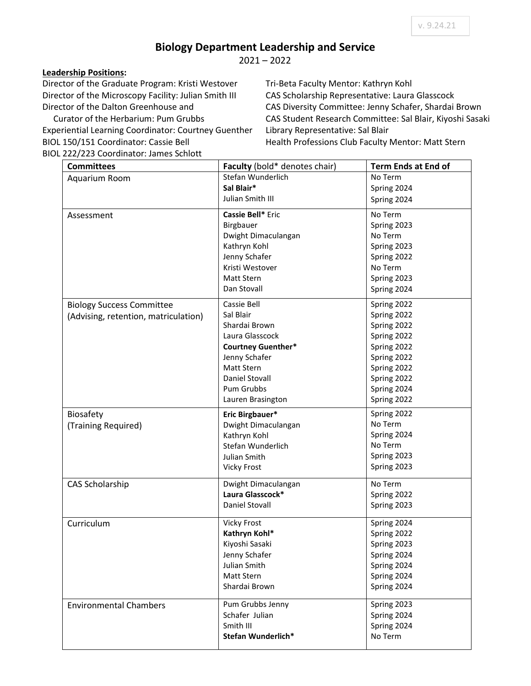## **Biology Department Leadership and Service**

2021 – 2022

## **Leadership Positions:**

Director of the Graduate Program: Kristi Westover Director of the Microscopy Facility: Julian Smith III Director of the Dalton Greenhouse and

 Curator of the Herbarium: Pum Grubbs Experiential Learning Coordinator: Courtney Guenther BIOL 150/151 Coordinator: Cassie Bell BIOL 222/223 Coordinator: James Schlott

Tri-Beta Faculty Mentor: Kathryn Kohl CAS Scholarship Representative: Laura Glasscock CAS Diversity Committee: Jenny Schafer, Shardai Brown CAS Student Research Committee: Sal Blair, Kiyoshi Sasaki Library Representative: Sal Blair Health Professions Club Faculty Mentor: Matt Stern

| <b>Committees</b>                    | Faculty (bold* denotes chair) | <b>Term Ends at End of</b> |
|--------------------------------------|-------------------------------|----------------------------|
| Aquarium Room                        | Stefan Wunderlich             | No Term                    |
|                                      | Sal Blair*                    | Spring 2024                |
|                                      | Julian Smith III              | Spring 2024                |
| Assessment                           | Cassie Bell* Eric             | No Term                    |
|                                      | Birgbauer                     | Spring 2023                |
|                                      | Dwight Dimaculangan           | No Term                    |
|                                      | Kathryn Kohl                  | Spring 2023                |
|                                      | Jenny Schafer                 | Spring 2022                |
|                                      | Kristi Westover               | No Term                    |
|                                      | <b>Matt Stern</b>             | Spring 2023                |
|                                      | Dan Stovall                   | Spring 2024                |
| <b>Biology Success Committee</b>     | Cassie Bell                   | Spring 2022                |
|                                      | Sal Blair                     | Spring 2022                |
| (Advising, retention, matriculation) | Shardai Brown                 | Spring 2022                |
|                                      | Laura Glasscock               | Spring 2022                |
|                                      | <b>Courtney Guenther*</b>     | Spring 2022                |
|                                      | Jenny Schafer                 | Spring 2022                |
|                                      | Matt Stern                    | Spring 2022                |
|                                      | Daniel Stovall                | Spring 2022                |
|                                      | Pum Grubbs                    | Spring 2024                |
|                                      | Lauren Brasington             | Spring 2022                |
|                                      |                               |                            |
| Biosafety                            | Eric Birgbauer*               | Spring 2022                |
| (Training Required)                  | Dwight Dimaculangan           | No Term                    |
|                                      | Kathryn Kohl                  | Spring 2024                |
|                                      | Stefan Wunderlich             | No Term                    |
|                                      | Julian Smith                  | Spring 2023                |
|                                      | <b>Vicky Frost</b>            | Spring 2023                |
| <b>CAS Scholarship</b>               | Dwight Dimaculangan           | No Term                    |
|                                      | Laura Glasscock*              | Spring 2022                |
|                                      | Daniel Stovall                | Spring 2023                |
| Curriculum                           | <b>Vicky Frost</b>            | Spring 2024                |
|                                      | Kathryn Kohl*                 | Spring 2022                |
|                                      | Kiyoshi Sasaki                | Spring 2023                |
|                                      | Jenny Schafer                 | Spring 2024                |
|                                      | Julian Smith                  | Spring 2024                |
|                                      | Matt Stern                    | Spring 2024                |
|                                      | Shardai Brown                 | Spring 2024                |
| <b>Environmental Chambers</b>        | Pum Grubbs Jenny              | Spring 2023                |
|                                      | Schafer Julian                | Spring 2024                |
|                                      | Smith III                     | Spring 2024                |
|                                      | Stefan Wunderlich*            | No Term                    |
|                                      |                               |                            |